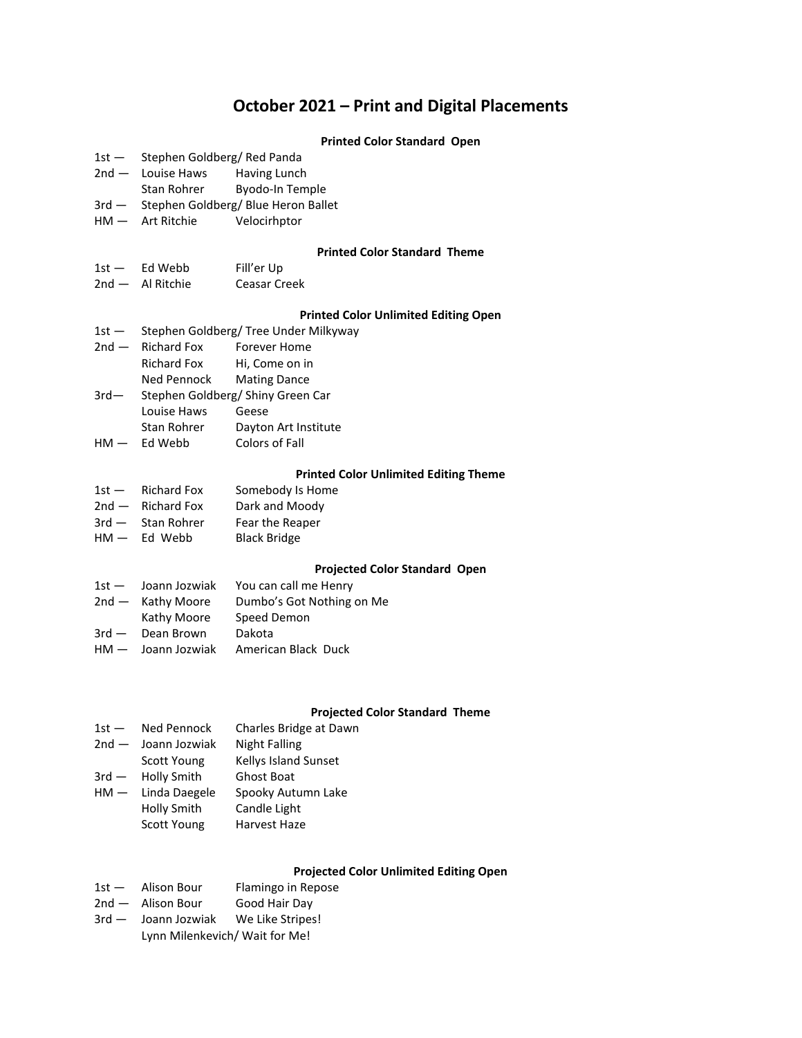# **October 2021 – Print and Digital Placements**

#### **Printed Color Standard Open**

- 1st Stephen Goldberg/ Red Panda
- 2nd Louise Haws Having Lunch
- Stan Rohrer Byodo-In Temple
- 3rd Stephen Goldberg/ Blue Heron Ballet
- HM Art Ritchie Velocirhptor

#### **Printed Color Standard Theme**

1st - Ed Webb Fill'er Up 2nd — Al Ritchie Ceasar Creek

### **Printed Color Unlimited Editing Open**

| Stephen Goldberg/ Tree Under Milkyway<br>$1st -$ |                     |
|--------------------------------------------------|---------------------|
|                                                  | <b>Forever Home</b> |
| <b>Richard Fox</b>                               | Hi, Come on in      |
| Ned Pennock                                      | <b>Mating Dance</b> |
| Stephen Goldberg/ Shiny Green Car<br>$3rd-$      |                     |
| Louise Haws                                      | Geese               |
|                                                  | $2nd$ - Richard Fox |

Stan Rohrer Dayton Art Institute HM — Ed Webb Colors of Fall

## **Printed Color Unlimited Editing Theme**

| $1st -$ | <b>Richard Fox</b> | Somebody Is Home    |
|---------|--------------------|---------------------|
| $2nd -$ | <b>Richard Fox</b> | Dark and Moody      |
| $3rd -$ | Stan Rohrer        | Fear the Reaper     |
| $HM -$  | Ed Webb            | <b>Black Bridge</b> |

#### **Projected Color Standard Open**

| Joann Jozwiak<br>$1st -$ | You can call me Henry     |
|--------------------------|---------------------------|
| 2nd - Kathy Moore        | Dumbo's Got Nothing on Me |
| Kathy Moore              | Speed Demon               |
| $3rd -$<br>Dean Brown    | Dakota                    |
| $HM -$ Joann Jozwiak     | American Black Duck       |
|                          |                           |

### **Projected Color Standard Theme**

| $1st -$  | Ned Pennock        | Charles Bridge at Dawn |
|----------|--------------------|------------------------|
| $2nd -$  | Joann Jozwiak      | Night Falling          |
|          | Scott Young        | Kellys Island Sunset   |
| $3$ rd — | Holly Smith        | Ghost Boat             |
| $HM -$   | Linda Daegele      | Spooky Autumn Lake     |
|          | Holly Smith        | Candle Light           |
|          | <b>Scott Young</b> | Harvest Haze           |
|          |                    |                        |

## **Projected Color Unlimited Editing Open**

- 1st Alison Bour Flamingo in Repose
- 2nd Alison Bour Good Hair Day
- 3rd Joann Jozwiak We Like Stripes! Lynn Milenkevich/ Wait for Me!